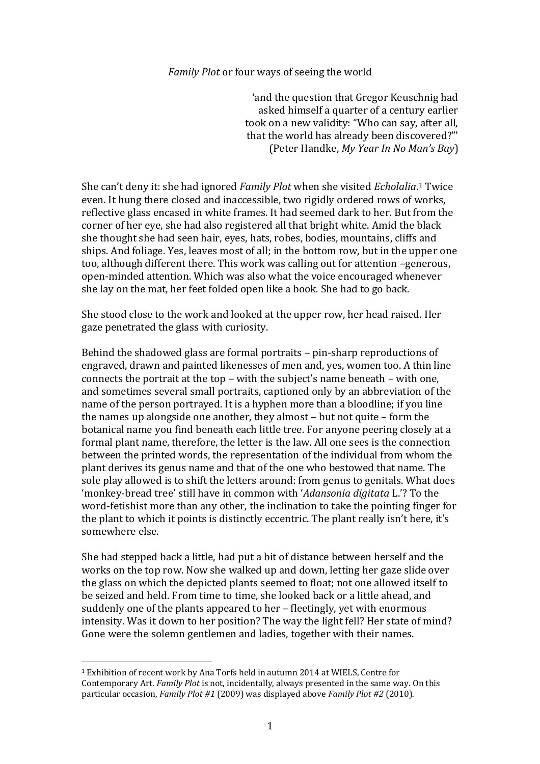## *Family Plot* or four ways of seeing the world

'and the question that Gregor Keuschnig had asked himself a quarter of a century earlier took on a new validity: "Who can say, after all, that the world has already been discovered?"' (Peter Handke, *My Year In No Man's Bay*)

She can't deny it: she had ignored *Family Plot* when she visited *Echolalia*. <sup>1</sup> Twice even. It hung there closed and inaccessible, two rigidly ordered rows of works, reflective glass encased in white frames. It had seemed dark to her. But from the corner of her eye, she had also registered all that bright white. Amid the black she thought she had seen hair, eyes, hats, robes, bodies, mountains, cliffs and ships. And foliage. Yes, leaves most of all; in the bottom row, but in the upper one too, although different there. This work was calling out for attention –generous, open-minded attention. Which was also what the voice encouraged whenever she lay on the mat, her feet folded open like a book. She had to go back.

She stood close to the work and looked at the upper row, her head raised. Her gaze penetrated the glass with curiosity.

Behind the shadowed glass are formal portraits – pin-sharp reproductions of engraved, drawn and painted likenesses of men and, yes, women too. A thin line connects the portrait at the top – with the subject's name beneath – with one, and sometimes several small portraits, captioned only by an abbreviation of the name of the person portrayed. It is a hyphen more than a bloodline; if you line the names up alongside one another, they almost – but not quite – form the botanical name you find beneath each little tree. For anyone peering closely at a formal plant name, therefore, the letter is the law. All one sees is the connection between the printed words, the representation of the individual from whom the plant derives its genus name and that of the one who bestowed that name. The sole play allowed is to shift the letters around: from genus to genitals. What does 'monkey-bread tree' still have in common with '*Adansonia digitata* L.'? To the word-fetishist more than any other, the inclination to take the pointing finger for the plant to which it points is distinctly eccentric. The plant really isn't here, it's somewhere else.

She had stepped back a little, had put a bit of distance between herself and the works on the top row. Now she walked up and down, letting her gaze slide over the glass on which the depicted plants seemed to float; not one allowed itself to be seized and held. From time to time, she looked back or a little ahead, and suddenly one of the plants appeared to her – fleetingly, yet with enormous intensity. Was it down to her position? The way the light fell? Her state of mind? Gone were the solemn gentlemen and ladies, together with their names.

<sup>1</sup> Exhibition of recent work by Ana Torfs held in autumn 2014 at WIELS, Centre for Contemporary Art. *Family Plot* is not, incidentally, always presented in the same way. On this particular occasion, *Family Plot #1* (2009) was displayed above *Family Plot #2* (2010).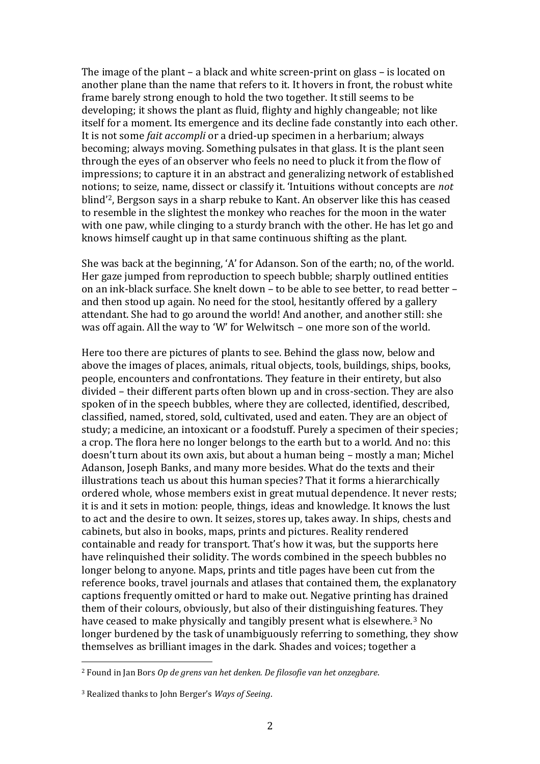The image of the plant – a black and white screen-print on glass – is located on another plane than the name that refers to it. It hovers in front, the robust white frame barely strong enough to hold the two together. It still seems to be developing; it shows the plant as fluid, flighty and highly changeable; not like itself for a moment. Its emergence and its decline fade constantly into each other. It is not some *fait accompli* or a dried-up specimen in a herbarium; always becoming; always moving. Something pulsates in that glass. It is the plant seen through the eyes of an observer who feels no need to pluck it from the flow of impressions; to capture it in an abstract and generalizing network of established notions; to seize, name, dissect or classify it. 'Intuitions without concepts are *not*  blind'2, Bergson says in a sharp rebuke to Kant. An observer like this has ceased to resemble in the slightest the monkey who reaches for the moon in the water with one paw, while clinging to a sturdy branch with the other. He has let go and knows himself caught up in that same continuous shifting as the plant.

She was back at the beginning, 'A' for Adanson. Son of the earth; no, of the world. Her gaze jumped from reproduction to speech bubble; sharply outlined entities on an ink-black surface. She knelt down – to be able to see better, to read better – and then stood up again. No need for the stool, hesitantly offered by a gallery attendant. She had to go around the world! And another, and another still: she was off again. All the way to 'W' for Welwitsch – one more son of the world.

Here too there are pictures of plants to see. Behind the glass now, below and above the images of places, animals, ritual objects, tools, buildings, ships, books, people, encounters and confrontations. They feature in their entirety, but also divided – their different parts often blown up and in cross-section. They are also spoken of in the speech bubbles, where they are collected, identified, described, classified, named, stored, sold, cultivated, used and eaten. They are an object of study; a medicine, an intoxicant or a foodstuff. Purely a specimen of their species; a crop. The flora here no longer belongs to the earth but to a world. And no: this doesn't turn about its own axis, but about a human being – mostly a man; Michel Adanson, Joseph Banks, and many more besides. What do the texts and their illustrations teach us about this human species? That it forms a hierarchically ordered whole, whose members exist in great mutual dependence. It never rests; it is and it sets in motion: people, things, ideas and knowledge. It knows the lust to act and the desire to own. It seizes, stores up, takes away. In ships, chests and cabinets, but also in books, maps, prints and pictures. Reality rendered containable and ready for transport. That's how it was, but the supports here have relinquished their solidity. The words combined in the speech bubbles no longer belong to anyone. Maps, prints and title pages have been cut from the reference books, travel journals and atlases that contained them, the explanatory captions frequently omitted or hard to make out. Negative printing has drained them of their colours, obviously, but also of their distinguishing features. They have ceased to make physically and tangibly present what is elsewhere.<sup>3</sup> No longer burdened by the task of unambiguously referring to something, they show themselves as brilliant images in the dark. Shades and voices; together a

<sup>2</sup> Found in Jan Bors *Op de grens van het denken. De filosofie van het onzegbare*.

<sup>3</sup> Realized thanks to John Berger's *Ways of Seeing*.